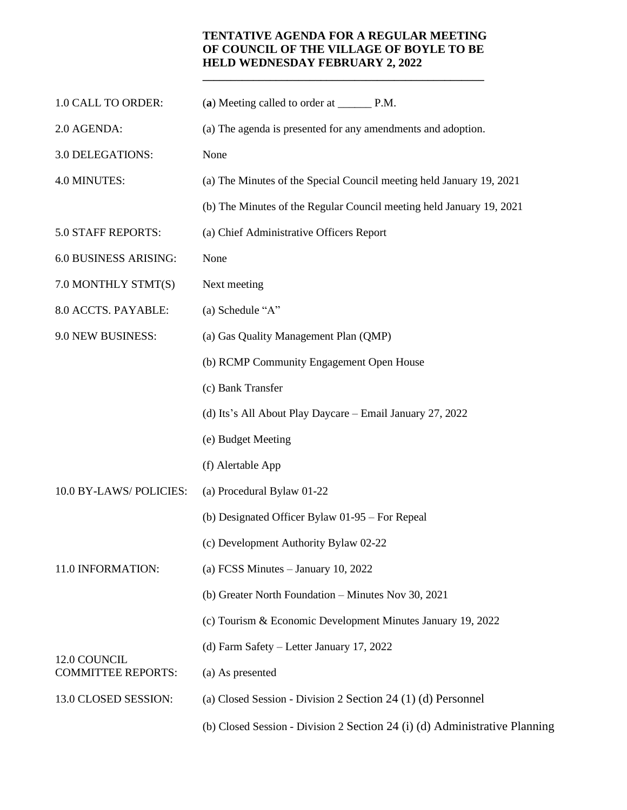## **TENTATIVE AGENDA FOR A REGULAR MEETING OF COUNCIL OF THE VILLAGE OF BOYLE TO BE HELD WEDNESDAY FEBRUARY 2, 2022**

**\_\_\_\_\_\_\_\_\_\_\_\_\_\_\_\_\_\_\_\_\_\_\_\_\_\_\_\_\_\_\_\_\_\_\_\_\_\_\_\_\_\_\_\_\_\_\_\_\_\_**

| 1.0 CALL TO ORDER:                        |                                                                            |
|-------------------------------------------|----------------------------------------------------------------------------|
| 2.0 AGENDA:                               | (a) The agenda is presented for any amendments and adoption.               |
| 3.0 DELEGATIONS:                          | None                                                                       |
| 4.0 MINUTES:                              | (a) The Minutes of the Special Council meeting held January 19, 2021       |
|                                           | (b) The Minutes of the Regular Council meeting held January 19, 2021       |
| 5.0 STAFF REPORTS:                        | (a) Chief Administrative Officers Report                                   |
| 6.0 BUSINESS ARISING:                     | None                                                                       |
| 7.0 MONTHLY STMT(S)                       | Next meeting                                                               |
| 8.0 ACCTS. PAYABLE:                       | (a) Schedule "A"                                                           |
| 9.0 NEW BUSINESS:                         | (a) Gas Quality Management Plan (QMP)                                      |
|                                           | (b) RCMP Community Engagement Open House                                   |
|                                           | (c) Bank Transfer                                                          |
|                                           | (d) Its's All About Play Daycare – Email January 27, 2022                  |
|                                           | (e) Budget Meeting                                                         |
|                                           | (f) Alertable App                                                          |
| 10.0 BY-LAWS/POLICIES:                    | (a) Procedural Bylaw 01-22                                                 |
|                                           | (b) Designated Officer Bylaw 01-95 – For Repeal                            |
|                                           | (c) Development Authority Bylaw 02-22                                      |
| 11.0 INFORMATION:                         | (a) FCSS Minutes $-$ January 10, 2022                                      |
|                                           | (b) Greater North Foundation - Minutes Nov 30, 2021                        |
|                                           | (c) Tourism & Economic Development Minutes January 19, 2022                |
| 12.0 COUNCIL<br><b>COMMITTEE REPORTS:</b> | (d) Farm Safety – Letter January 17, 2022                                  |
|                                           | (a) As presented                                                           |
| 13.0 CLOSED SESSION:                      | (a) Closed Session - Division 2 Section 24 (1) (d) Personnel               |
|                                           | (b) Closed Session - Division 2 Section 24 (i) (d) Administrative Planning |